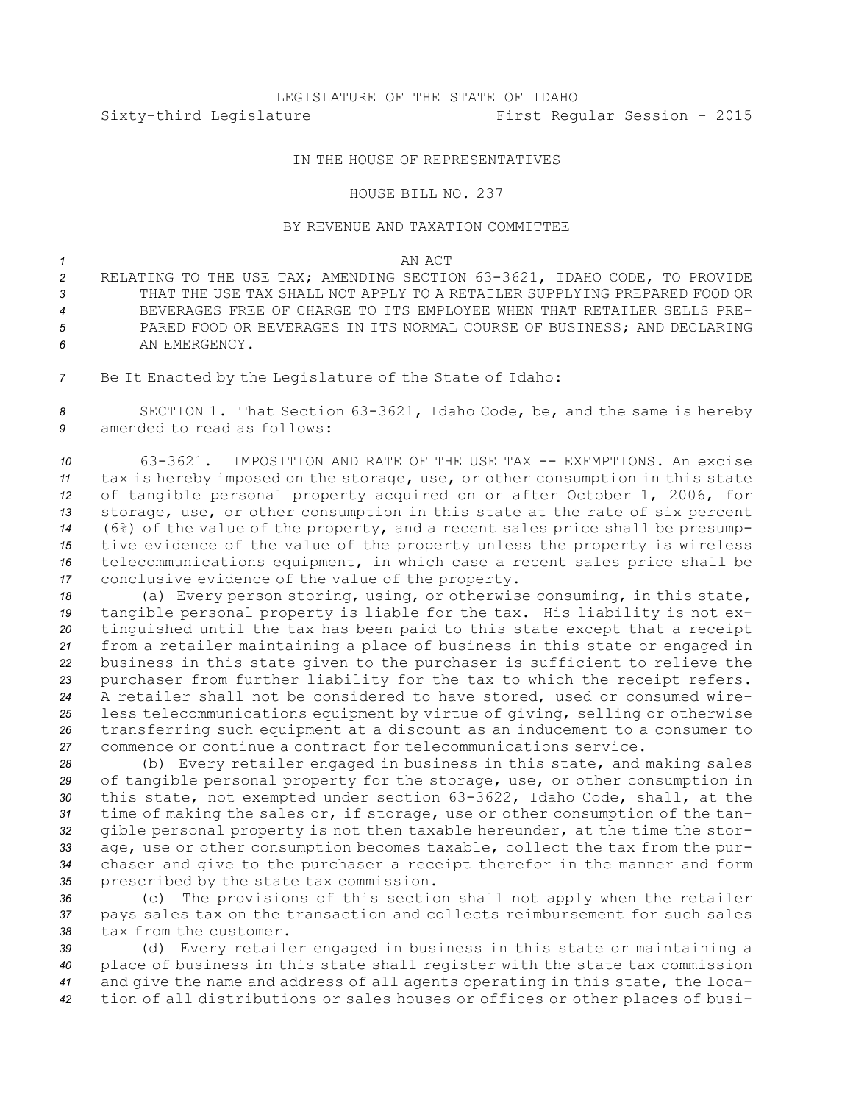# LEGISLATURE OF THE STATE OF IDAHO Sixty-third Legislature First Regular Session - 2015

# IN THE HOUSE OF REPRESENTATIVES

#### HOUSE BILL NO. 237

## BY REVENUE AND TAXATION COMMITTEE

## *1* AN ACT

 RELATING TO THE USE TAX; AMENDING SECTION 63-3621, IDAHO CODE, TO PROVIDE THAT THE USE TAX SHALL NOT APPLY TO A RETAILER SUPPLYING PREPARED FOOD OR BEVERAGES FREE OF CHARGE TO ITS EMPLOYEE WHEN THAT RETAILER SELLS PRE- PARED FOOD OR BEVERAGES IN ITS NORMAL COURSE OF BUSINESS; AND DECLARING AN EMERGENCY.

*<sup>7</sup>* Be It Enacted by the Legislature of the State of Idaho:

*<sup>8</sup>* SECTION 1. That Section 63-3621, Idaho Code, be, and the same is hereby *9* amended to read as follows:

 63-3621. IMPOSITION AND RATE OF THE USE TAX -- EXEMPTIONS. An excise tax is hereby imposed on the storage, use, or other consumption in this state of tangible personal property acquired on or after October 1, 2006, for storage, use, or other consumption in this state at the rate of six percent (6%) of the value of the property, and <sup>a</sup> recent sales price shall be presump- tive evidence of the value of the property unless the property is wireless telecommunications equipment, in which case <sup>a</sup> recent sales price shall be conclusive evidence of the value of the property.

 (a) Every person storing, using, or otherwise consuming, in this state, tangible personal property is liable for the tax. His liability is not ex- tinguished until the tax has been paid to this state except that <sup>a</sup> receipt from <sup>a</sup> retailer maintaining <sup>a</sup> place of business in this state or engaged in business in this state given to the purchaser is sufficient to relieve the purchaser from further liability for the tax to which the receipt refers. A retailer shall not be considered to have stored, used or consumed wire- less telecommunications equipment by virtue of giving, selling or otherwise transferring such equipment at <sup>a</sup> discount as an inducement to <sup>a</sup> consumer to commence or continue <sup>a</sup> contract for telecommunications service.

 (b) Every retailer engaged in business in this state, and making sales of tangible personal property for the storage, use, or other consumption in this state, not exempted under section 63-3622, Idaho Code, shall, at the time of making the sales or, if storage, use or other consumption of the tan- gible personal property is not then taxable hereunder, at the time the stor- age, use or other consumption becomes taxable, collect the tax from the pur- chaser and give to the purchaser <sup>a</sup> receipt therefor in the manner and form prescribed by the state tax commission.

*<sup>36</sup>* (c) The provisions of this section shall not apply when the retailer *<sup>37</sup>* pays sales tax on the transaction and collects reimbursement for such sales *38* tax from the customer.

 (d) Every retailer engaged in business in this state or maintaining <sup>a</sup> place of business in this state shall register with the state tax commission and give the name and address of all agents operating in this state, the loca-tion of all distributions or sales houses or offices or other places of busi-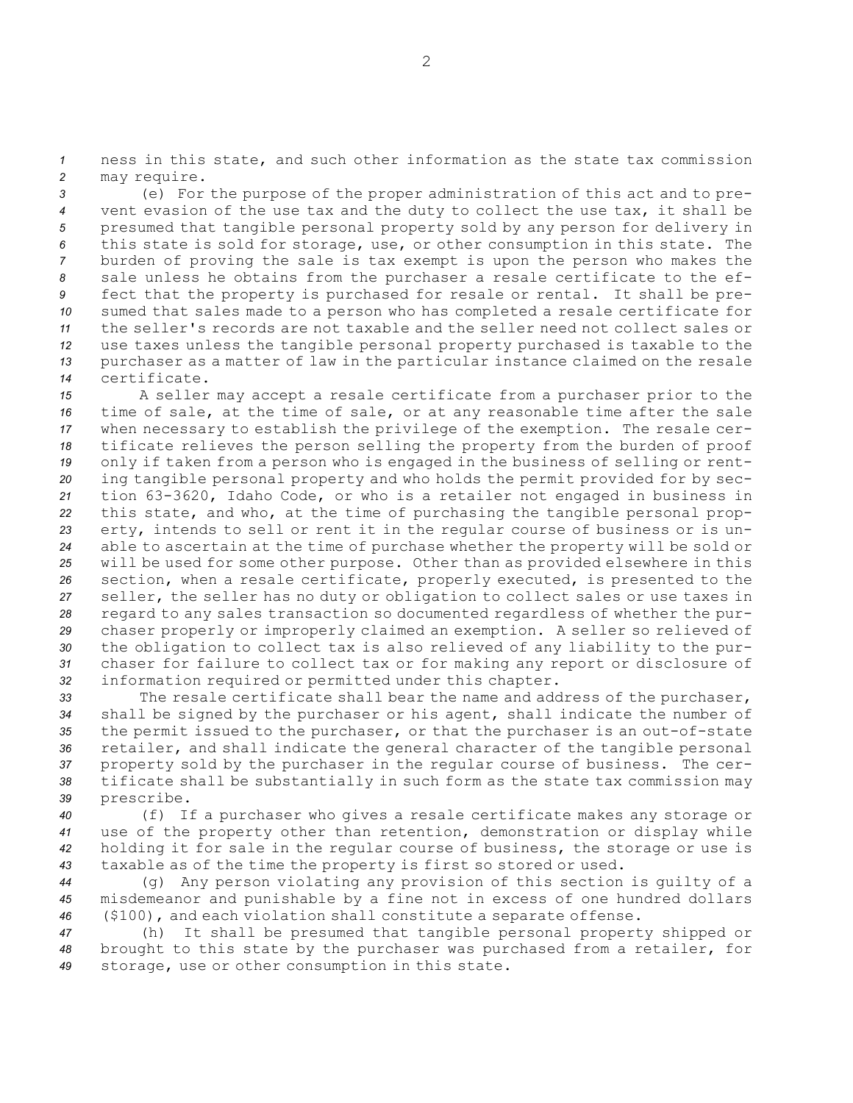*<sup>1</sup>* ness in this state, and such other information as the state tax commission *<sup>2</sup>* may require.

 (e) For the purpose of the proper administration of this act and to pre- vent evasion of the use tax and the duty to collect the use tax, it shall be presumed that tangible personal property sold by any person for delivery in this state is sold for storage, use, or other consumption in this state. The burden of proving the sale is tax exempt is upon the person who makes the sale unless he obtains from the purchaser <sup>a</sup> resale certificate to the ef- fect that the property is purchased for resale or rental. It shall be pre- sumed that sales made to <sup>a</sup> person who has completed <sup>a</sup> resale certificate for the seller's records are not taxable and the seller need not collect sales or use taxes unless the tangible personal property purchased is taxable to the purchaser as <sup>a</sup> matter of law in the particular instance claimed on the resale certificate.

 <sup>A</sup> seller may accept <sup>a</sup> resale certificate from <sup>a</sup> purchaser prior to the time of sale, at the time of sale, or at any reasonable time after the sale when necessary to establish the privilege of the exemption. The resale cer- tificate relieves the person selling the property from the burden of proof only if taken from <sup>a</sup> person who is engaged in the business of selling or rent- ing tangible personal property and who holds the permit provided for by sec- tion 63-3620, Idaho Code, or who is <sup>a</sup> retailer not engaged in business in this state, and who, at the time of purchasing the tangible personal prop- erty, intends to sell or rent it in the regular course of business or is un- able to ascertain at the time of purchase whether the property will be sold or will be used for some other purpose. Other than as provided elsewhere in this section, when <sup>a</sup> resale certificate, properly executed, is presented to the seller, the seller has no duty or obligation to collect sales or use taxes in regard to any sales transaction so documented regardless of whether the pur- chaser properly or improperly claimed an exemption. <sup>A</sup> seller so relieved of the obligation to collect tax is also relieved of any liability to the pur- chaser for failure to collect tax or for making any report or disclosure of information required or permitted under this chapter.

 The resale certificate shall bear the name and address of the purchaser, shall be signed by the purchaser or his agent, shall indicate the number of the permit issued to the purchaser, or that the purchaser is an out-of-state retailer, and shall indicate the general character of the tangible personal property sold by the purchaser in the regular course of business. The cer- tificate shall be substantially in such form as the state tax commission may prescribe.

 (f) If <sup>a</sup> purchaser who gives <sup>a</sup> resale certificate makes any storage or use of the property other than retention, demonstration or display while holding it for sale in the regular course of business, the storage or use is taxable as of the time the property is first so stored or used.

*<sup>44</sup>* (g) Any person violating any provision of this section is guilty of <sup>a</sup> *<sup>45</sup>* misdemeanor and punishable by <sup>a</sup> fine not in excess of one hundred dollars *<sup>46</sup>* (\$100), and each violation shall constitute <sup>a</sup> separate offense.

*<sup>47</sup>* (h) It shall be presumed that tangible personal property shipped or *<sup>48</sup>* brought to this state by the purchaser was purchased from <sup>a</sup> retailer, for *<sup>49</sup>* storage, use or other consumption in this state.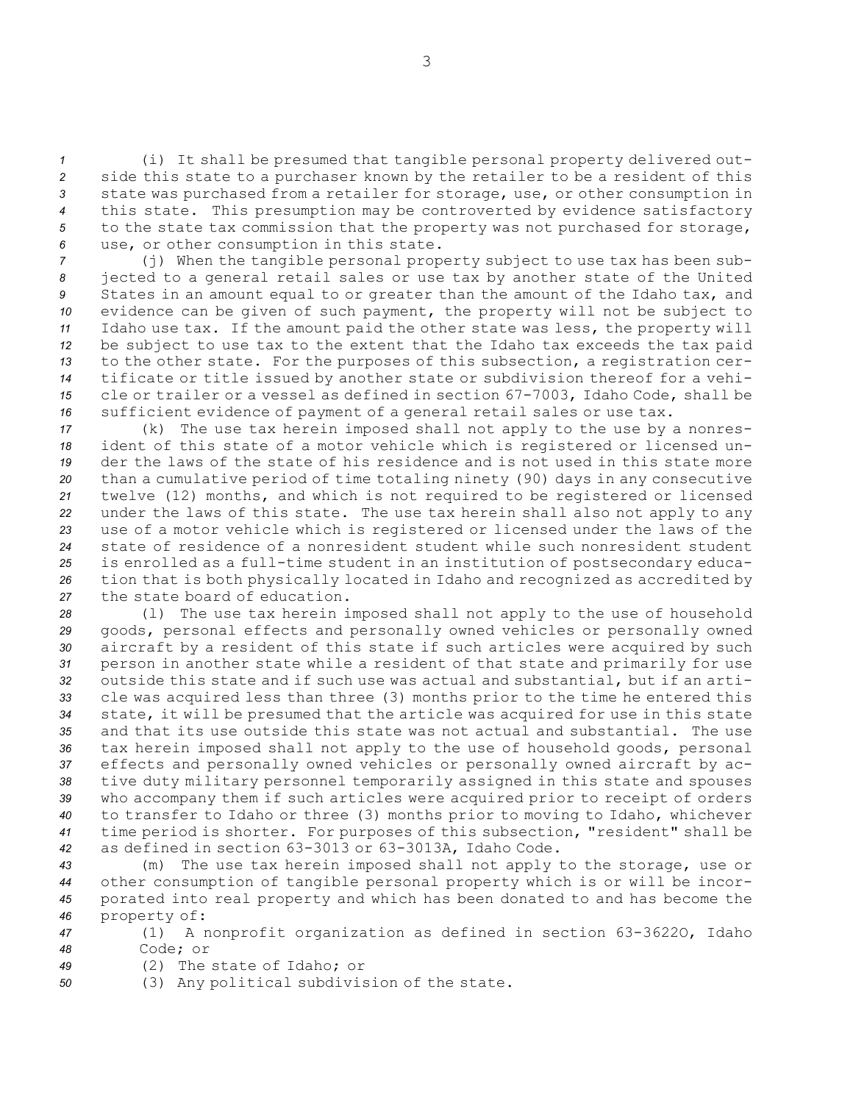(i) It shall be presumed that tangible personal property delivered out- side this state to <sup>a</sup> purchaser known by the retailer to be <sup>a</sup> resident of this state was purchased from <sup>a</sup> retailer for storage, use, or other consumption in this state. This presumption may be controverted by evidence satisfactory to the state tax commission that the property was not purchased for storage, use, or other consumption in this state.

 (j) When the tangible personal property subject to use tax has been sub- jected to <sup>a</sup> general retail sales or use tax by another state of the United States in an amount equal to or greater than the amount of the Idaho tax, and evidence can be given of such payment, the property will not be subject to Idaho use tax. If the amount paid the other state was less, the property will be subject to use tax to the extent that the Idaho tax exceeds the tax paid to the other state. For the purposes of this subsection, <sup>a</sup> registration cer- tificate or title issued by another state or subdivision thereof for <sup>a</sup> vehi- cle or trailer or <sup>a</sup> vessel as defined in section 67-7003, Idaho Code, shall be sufficient evidence of payment of <sup>a</sup> general retail sales or use tax.

 (k) The use tax herein imposed shall not apply to the use by <sup>a</sup> nonres- ident of this state of <sup>a</sup> motor vehicle which is registered or licensed un- der the laws of the state of his residence and is not used in this state more than <sup>a</sup> cumulative period of time totaling ninety (90) days in any consecutive twelve (12) months, and which is not required to be registered or licensed under the laws of this state. The use tax herein shall also not apply to any use of <sup>a</sup> motor vehicle which is registered or licensed under the laws of the state of residence of <sup>a</sup> nonresident student while such nonresident student is enrolled as <sup>a</sup> full-time student in an institution of postsecondary educa- tion that is both physically located in Idaho and recognized as accredited by the state board of education.

 (l) The use tax herein imposed shall not apply to the use of household goods, personal effects and personally owned vehicles or personally owned aircraft by <sup>a</sup> resident of this state if such articles were acquired by such person in another state while <sup>a</sup> resident of that state and primarily for use outside this state and if such use was actual and substantial, but if an arti- cle was acquired less than three (3) months prior to the time he entered this state, it will be presumed that the article was acquired for use in this state and that its use outside this state was not actual and substantial. The use tax herein imposed shall not apply to the use of household goods, personal effects and personally owned vehicles or personally owned aircraft by ac- tive duty military personnel temporarily assigned in this state and spouses who accompany them if such articles were acquired prior to receipt of orders to transfer to Idaho or three (3) months prior to moving to Idaho, whichever time period is shorter. For purposes of this subsection, "resident" shall be as defined in section 63-3013 or 63-3013A, Idaho Code.

 (m) The use tax herein imposed shall not apply to the storage, use or other consumption of tangible personal property which is or will be incor- porated into real property and which has been donated to and has become the property of:

*<sup>47</sup>* (1) <sup>A</sup> nonprofit organization as defined in section 63-3622O, Idaho *48* Code; or

*49* (2) The state of Idaho; or

*<sup>50</sup>* (3) Any political subdivision of the state.

3